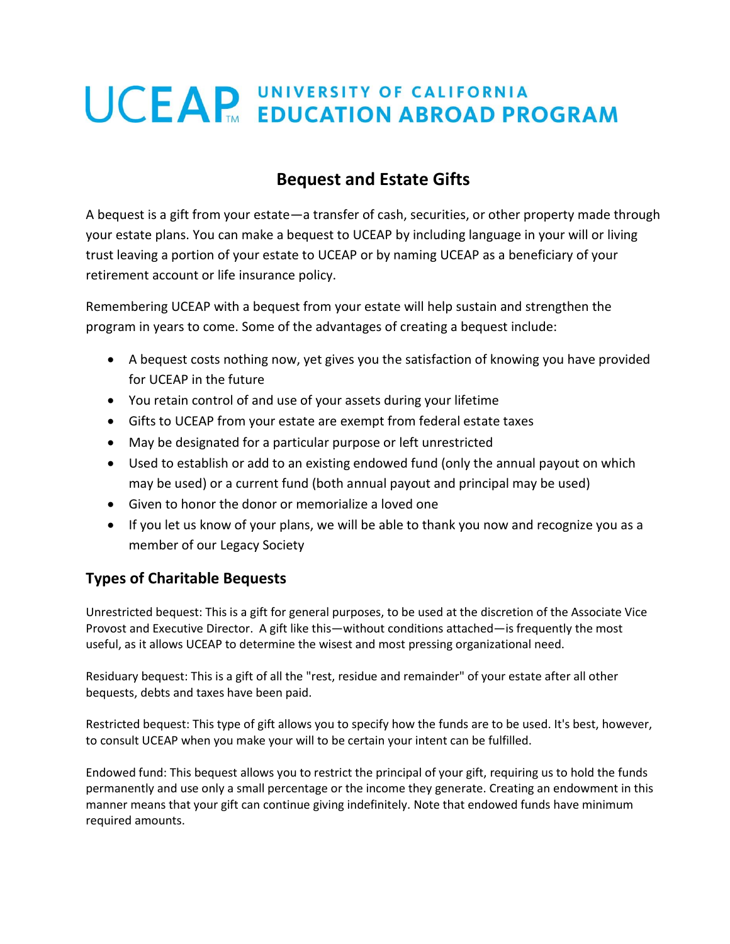# **UCEAP UNIVERSITY OF CALIFORNIA**<br> **UCEAP** EDUCATION ABROAD PROGRAM

# **Bequest and Estate Gifts**

A bequest is a gift from your estate—a transfer of cash, securities, or other property made through your estate plans. You can make a bequest to UCEAP by including language in your will or living trust leaving a portion of your estate to UCEAP or by naming UCEAP as a beneficiary of your retirement account or life insurance policy.

Remembering UCEAP with a bequest from your estate will help sustain and strengthen the program in years to come. Some of the advantages of creating a bequest include:

- A bequest costs nothing now, yet gives you the satisfaction of knowing you have provided for UCEAP in the future
- You retain control of and use of your assets during your lifetime
- Gifts to UCEAP from your estate are exempt from federal estate taxes
- May be designated for a particular purpose or left unrestricted
- Used to establish or add to an existing endowed fund (only the annual payout on which may be used) or a current fund (both annual payout and principal may be used)
- Given to honor the donor or memorialize a loved one
- If you let us know of your plans, we will be able to thank you now and recognize you as a member of our Legacy Society

# **Types of Charitable Bequests**

Unrestricted bequest: This is a gift for general purposes, to be used at the discretion of the Associate Vice Provost and Executive Director. A gift like this—without conditions attached—is frequently the most useful, as it allows UCEAP to determine the wisest and most pressing organizational need.

Residuary bequest: This is a gift of all the "rest, residue and remainder" of your estate after all other bequests, debts and taxes have been paid.

Restricted bequest: This type of gift allows you to specify how the funds are to be used. It's best, however, to consult UCEAP when you make your will to be certain your intent can be fulfilled.

Endowed fund: This bequest allows you to restrict the principal of your gift, requiring us to hold the funds permanently and use only a small percentage or the income they generate. Creating an endowment in this manner means that your gift can continue giving indefinitely. Note that endowed funds have minimum required amounts.